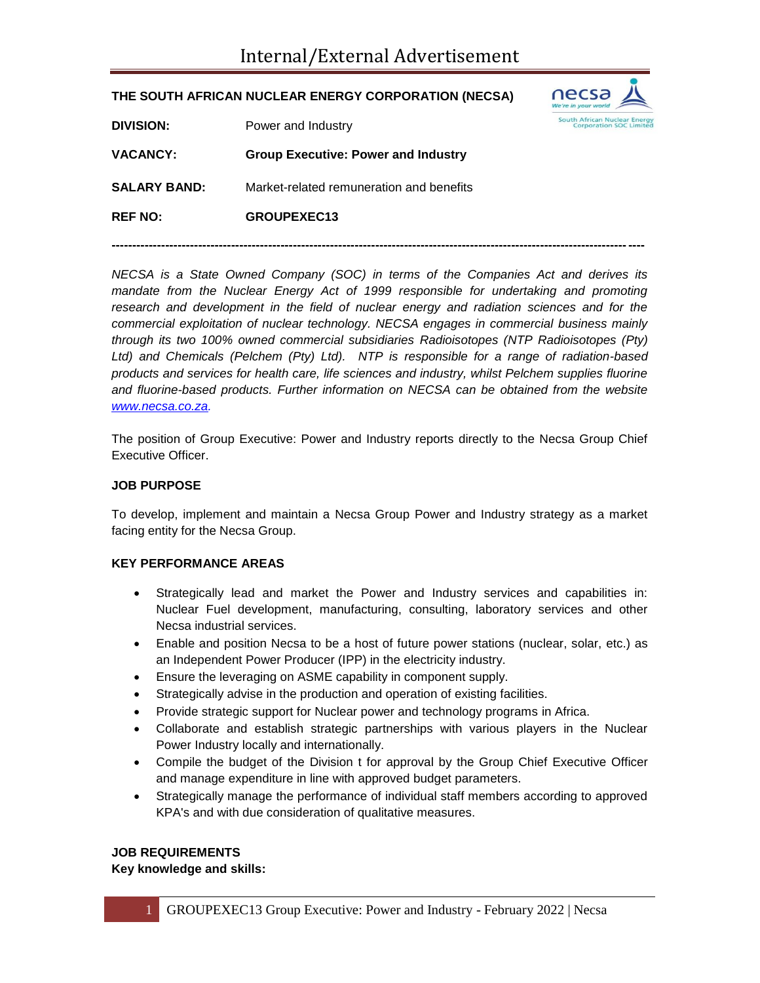# **THE SOUTH AFRICAN NUCLEAR ENERGY CORPORATION (NECSA)**



| <b>DIVISION:</b>    | Power and Industry                         |
|---------------------|--------------------------------------------|
| <b>VACANCY:</b>     | <b>Group Executive: Power and Industry</b> |
| <b>SALARY BAND:</b> | Market-related remuneration and benefits   |
| <b>REF NO:</b>      | GROUPEXEC13                                |

*NECSA is a State Owned Company (SOC) in terms of the Companies Act and derives its mandate from the Nuclear Energy Act of 1999 responsible for undertaking and promoting research and development in the field of nuclear energy and radiation sciences and for the commercial exploitation of nuclear technology. NECSA engages in commercial business mainly through its two 100% owned commercial subsidiaries Radioisotopes (NTP Radioisotopes (Pty) Ltd) and Chemicals (Pelchem (Pty) Ltd). NTP is responsible for a range of radiation-based products and services for health care, life sciences and industry, whilst Pelchem supplies fluorine and fluorine-based products. Further information on NECSA can be obtained from the website [www.necsa.co.za.](http://www.necsa.co.za/)* 

**---------------------------------------------------------------------------------------------------------------------------------**

The position of Group Executive: Power and Industry reports directly to the Necsa Group Chief Executive Officer.

### **JOB PURPOSE**

To develop, implement and maintain a Necsa Group Power and Industry strategy as a market facing entity for the Necsa Group.

### **KEY PERFORMANCE AREAS**

- Strategically lead and market the Power and Industry services and capabilities in: Nuclear Fuel development, manufacturing, consulting, laboratory services and other Necsa industrial services.
- Enable and position Necsa to be a host of future power stations (nuclear, solar, etc.) as an Independent Power Producer (IPP) in the electricity industry.
- Ensure the leveraging on ASME capability in component supply.
- Strategically advise in the production and operation of existing facilities.
- Provide strategic support for Nuclear power and technology programs in Africa.
- Collaborate and establish strategic partnerships with various players in the Nuclear Power Industry locally and internationally.
- Compile the budget of the Division t for approval by the Group Chief Executive Officer and manage expenditure in line with approved budget parameters.
- Strategically manage the performance of individual staff members according to approved KPA's and with due consideration of qualitative measures.

### **JOB REQUIREMENTS**

**Key knowledge and skills:**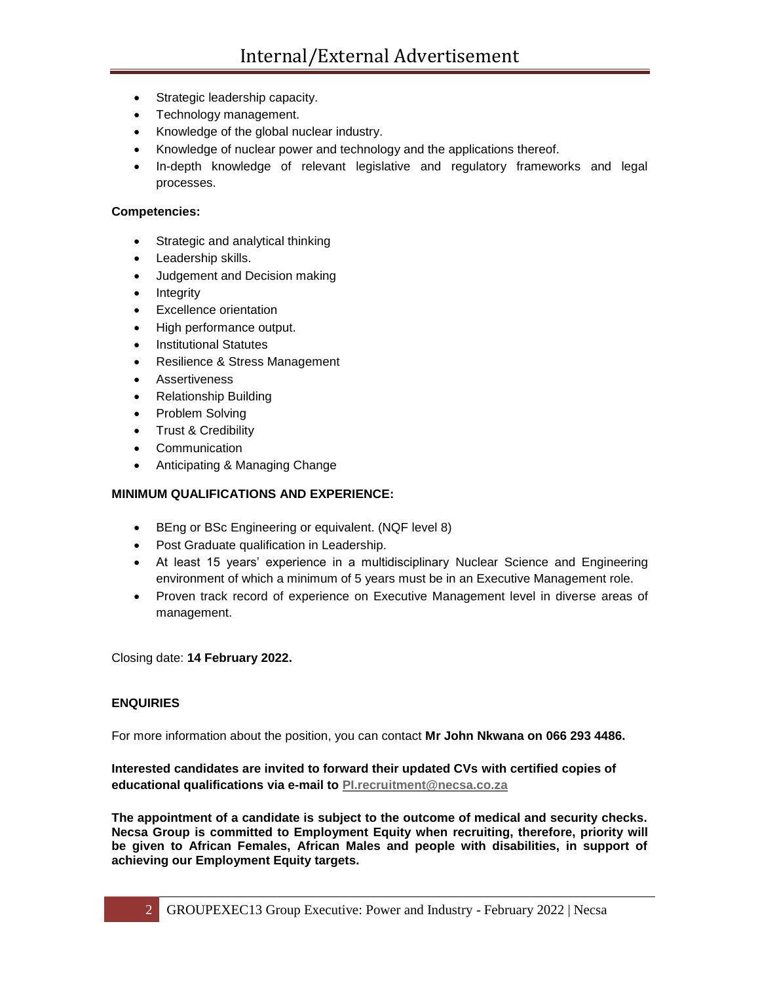- Strategic leadership capacity.
- Technology management.
- Knowledge of the global nuclear industry.
- Knowledge of nuclear power and technology and the applications thereof.
- In-depth knowledge of relevant legislative and regulatory frameworks and legal processes.

### **Competencies:**

- Strategic and analytical thinking
- Leadership skills.
- Judgement and Decision making
- Integrity
- Excellence orientation
- High performance output.
- Institutional Statutes
- Resilience & Stress Management
- Assertiveness
- Relationship Building
- Problem Solving
- Trust & Credibility
- Communication
- Anticipating & Managing Change

## **MINIMUM QUALIFICATIONS AND EXPERIENCE:**

- BEng or BSc Engineering or equivalent. (NQF level 8)
- Post Graduate qualification in Leadership.
- At least 15 years' experience in a multidisciplinary Nuclear Science and Engineering environment of which a minimum of 5 years must be in an Executive Management role.
- Proven track record of experience on Executive Management level in diverse areas of management.

Closing date: **14 February 2022.**

#### **ENQUIRIES**

For more information about the position, you can contact **Mr John Nkwana on 066 293 4486.**

**Interested candidates are invited to forward their updated CVs with certified copies of educational qualifications via e-mail to [PI.recruitment@necsa.co.za](mailto:PI.recruitment@necsa.co.za)**

**The appointment of a candidate is subject to the outcome of medical and security checks. Necsa Group is committed to Employment Equity when recruiting, therefore, priority will be given to African Females, African Males and people with disabilities, in support of achieving our Employment Equity targets.**